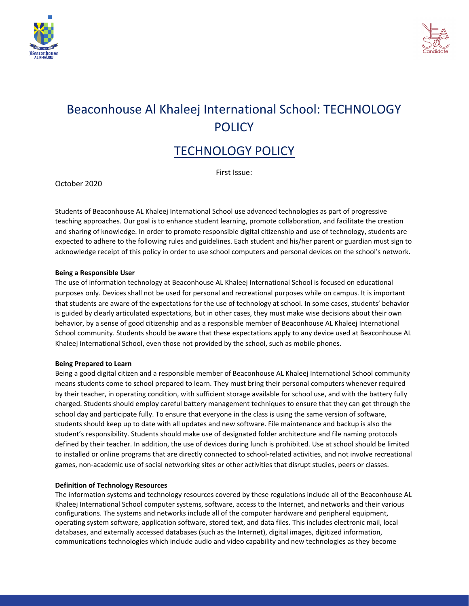



# Beaconhouse Al Khaleej International School: TECHNOLOGY **POLICY**

# TECHNOLOGY POLICY

First Issue:

October 2020

Students of Beaconhouse AL Khaleej International School use advanced technologies as part of progressive teaching approaches. Our goal is to enhance student learning, promote collaboration, and facilitate the creation and sharing of knowledge. In order to promote responsible digital citizenship and use of technology, students are expected to adhere to the following rules and guidelines. Each student and his/her parent or guardian must sign to acknowledge receipt of this policy in order to use school computers and personal devices on the school's network.

#### **Being a Responsible User**

The use of information technology at Beaconhouse AL Khaleej International School is focused on educational purposes only. Devices shall not be used for personal and recreational purposes while on campus. It is important that students are aware of the expectations for the use of technology at school. In some cases, students' behavior is guided by clearly articulated expectations, but in other cases, they must make wise decisions about their own behavior, by a sense of good citizenship and as a responsible member of Beaconhouse AL Khaleej International School community. Students should be aware that these expectations apply to any device used at Beaconhouse AL Khaleej International School, even those not provided by the school, such as mobile phones.

#### **Being Prepared to Learn**

Being a good digital citizen and a responsible member of Beaconhouse AL Khaleej International School community means students come to school prepared to learn. They must bring their personal computers whenever required by their teacher, in operating condition, with sufficient storage available for school use, and with the battery fully charged. Students should employ careful battery management techniques to ensure that they can get through the school day and participate fully. To ensure that everyone in the class is using the same version of software, students should keep up to date with all updates and new software. File maintenance and backup is also the student's responsibility. Students should make use of designated folder architecture and file naming protocols defined by their teacher. In addition, the use of devices during lunch is prohibited. Use at school should be limited to installed or online programs that are directly connected to school-related activities, and not involve recreational games, non-academic use of social networking sites or other activities that disrupt studies, peers or classes.

# **Definition of Technology Resources**

The information systems and technology resources covered by these regulations include all of the Beaconhouse AL Khaleej International School computer systems, software, access to the Internet, and networks and their various configurations. The systems and networks include all of the computer hardware and peripheral equipment, operating system software, application software, stored text, and data files. This includes electronic mail, local databases, and externally accessed databases (such as the Internet), digital images, digitized information, communications technologies which include audio and video capability and new technologies as they become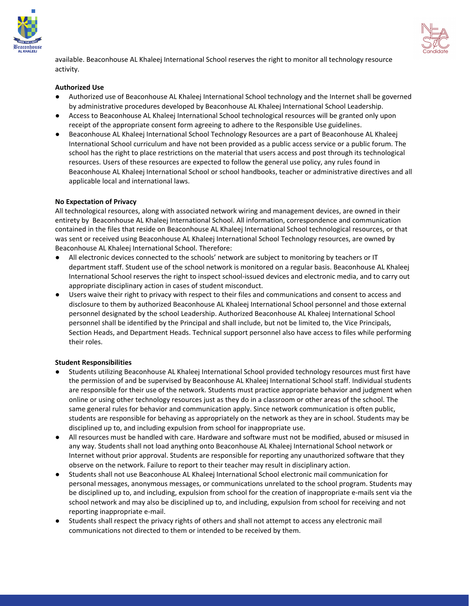



available. Beaconhouse AL Khaleej International School reserves the right to monitor all technology resource activity.

# **Authorized Use**

- Authorized use of Beaconhouse AL Khaleej International School technology and the Internet shall be governed by administrative procedures developed by Beaconhouse AL Khaleej International School Leadership.
- Access to Beaconhouse AL Khaleej International School technological resources will be granted only upon receipt of the appropriate consent form agreeing to adhere to the Responsible Use guidelines.
- Beaconhouse AL Khaleej International School Technology Resources are a part of Beaconhouse AL Khaleej International School curriculum and have not been provided as a public access service or a public forum. The school has the right to place restrictions on the material that users access and post through its technological resources. Users of these resources are expected to follow the general use policy, any rules found in Beaconhouse AL Khaleej International School or school handbooks, teacher or administrative directives and all applicable local and international laws.

#### **No Expectation of Privacy**

All technological resources, along with associated network wiring and management devices, are owned in their entirety by Beaconhouse AL Khaleej International School. All information, correspondence and communication contained in the files that reside on Beaconhouse AL Khaleej International School technological resources, or that was sent or received using Beaconhouse AL Khaleej International School Technology resources, are owned by Beaconhouse AL Khaleej International School. Therefore:

- All electronic devices connected to the schools' network are subject to monitoring by teachers or IT department staff. Student use of the school network is monitored on a regular basis. Beaconhouse AL Khaleej International School reserves the right to inspect school-issued devices and electronic media, and to carry out appropriate disciplinary action in cases of student misconduct.
- Users waive their right to privacy with respect to their files and communications and consent to access and disclosure to them by authorized Beaconhouse AL Khaleej International School personnel and those external personnel designated by the school Leadership. Authorized Beaconhouse AL Khaleej International School personnel shall be identified by the Principal and shall include, but not be limited to, the Vice Principals, Section Heads, and Department Heads. Technical support personnel also have access to files while performing their roles.

#### **Student Responsibilities**

- Students utilizing Beaconhouse AL Khaleej International School provided technology resources must first have the permission of and be supervised by Beaconhouse AL Khaleej International School staff. Individual students are responsible for their use of the network. Students must practice appropriate behavior and judgment when online or using other technology resources just as they do in a classroom or other areas of the school. The same general rules for behavior and communication apply. Since network communication is often public, students are responsible for behaving as appropriately on the network as they are in school. Students may be disciplined up to, and including expulsion from school for inappropriate use.
- All resources must be handled with care. Hardware and software must not be modified, abused or misused in any way. Students shall not load anything onto Beaconhouse AL Khaleej International School network or Internet without prior approval. Students are responsible for reporting any unauthorized software that they observe on the network. Failure to report to their teacher may result in disciplinary action.
- Students shall not use Beaconhouse AL Khaleej International School electronic mail communication for personal messages, anonymous messages, or communications unrelated to the school program. Students may be disciplined up to, and including, expulsion from school for the creation of inappropriate e-mails sent via the school network and may also be disciplined up to, and including, expulsion from school for receiving and not reporting inappropriate e-mail.
- Students shall respect the privacy rights of others and shall not attempt to access any electronic mail communications not directed to them or intended to be received by them.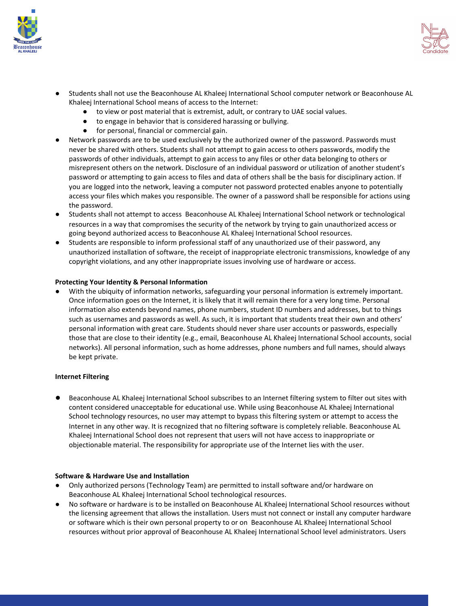



- Students shall not use the Beaconhouse AL Khaleej International School computer network or Beaconhouse AL Khaleej International School means of access to the Internet:
	- to view or post material that is extremist, adult, or contrary to UAE social values.
	- to engage in behavior that is considered harassing or bullying.
	- for personal, financial or commercial gain.
- Network passwords are to be used exclusively by the authorized owner of the password. Passwords must never be shared with others. Students shall not attempt to gain access to others passwords, modify the passwords of other individuals, attempt to gain access to any files or other data belonging to others or misrepresent others on the network. Disclosure of an individual password or utilization of another student's password or attempting to gain access to files and data of others shall be the basis for disciplinary action. If you are logged into the network, leaving a computer not password protected enables anyone to potentially access your files which makes you responsible. The owner of a password shall be responsible for actions using the password.
- Students shall not attempt to access Beaconhouse AL Khaleej International School network or technological resources in a way that compromises the security of the network by trying to gain unauthorized access or going beyond authorized access to Beaconhouse AL Khaleej International School resources.
- Students are responsible to inform professional staff of any unauthorized use of their password, any unauthorized installation of software, the receipt of inappropriate electronic transmissions, knowledge of any copyright violations, and any other inappropriate issues involving use of hardware or access.

# **Protecting Your Identity & Personal Information**

With the ubiquity of information networks, safeguarding your personal information is extremely important. Once information goes on the Internet, it is likely that it will remain there for a very long time. Personal information also extends beyond names, phone numbers, student ID numbers and addresses, but to things such as usernames and passwords as well. As such, it is important that students treat their own and others' personal information with great care. Students should never share user accounts or passwords, especially those that are close to their identity (e.g., email, Beaconhouse AL Khaleej International School accounts, social networks). All personal information, such as home addresses, phone numbers and full names, should always be kept private.

#### **Internet Filtering**

Beaconhouse AL Khaleej International School subscribes to an Internet filtering system to filter out sites with content considered unacceptable for educational use. While using Beaconhouse AL Khaleej International School technology resources, no user may attempt to bypass this filtering system or attempt to access the Internet in any other way. It is recognized that no filtering software is completely reliable. Beaconhouse AL Khaleej International School does not represent that users will not have access to inappropriate or objectionable material. The responsibility for appropriate use of the Internet lies with the user.

#### **Software & Hardware Use and Installation**

- Only authorized persons (Technology Team) are permitted to install software and/or hardware on Beaconhouse AL Khaleej International School technological resources.
- No software or hardware is to be installed on Beaconhouse AL Khaleej International School resources without the licensing agreement that allows the installation. Users must not connect or install any computer hardware or software which is their own personal property to or on Beaconhouse AL Khaleej International School resources without prior approval of Beaconhouse AL Khaleej International School level administrators. Users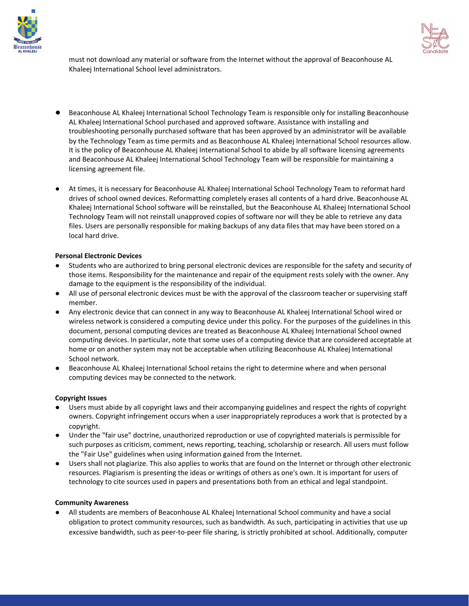



must not download any material or software from the Internet without the approval of Beaconhouse AL Khaleej International School level administrators.

- Beaconhouse AL Khaleej International School Technology Team is responsible only for installing Beaconhouse AL Khaleej International School purchased and approved software. Assistance with installing and troubleshooting personally purchased software that has been approved by an administrator will be available by the Technology Team as time permits and as Beaconhouse AL Khaleej International School resources allow. It is the policy of Beaconhouse AL Khaleej International School to abide by all software licensing agreements and Beaconhouse AL Khaleej International School Technology Team will be responsible for maintaining a licensing agreement file.
- At times, it is necessary for Beaconhouse AL Khaleej International School Technology Team to reformat hard drives of school owned devices. Reformatting completely erases all contents of a hard drive. Beaconhouse AL Khaleej International School software will be reinstalled, but the Beaconhouse AL Khaleej International School Technology Team will not reinstall unapproved copies of software nor will they be able to retrieve any data files. Users are personally responsible for making backups of any data files that may have been stored on a local hard drive.

# **Personal Electronic Devices**

- Students who are authorized to bring personal electronic devices are responsible for the safety and security of those items. Responsibility for the maintenance and repair of the equipment rests solely with the owner. Any damage to the equipment is the responsibility of the individual.
- All use of personal electronic devices must be with the approval of the classroom teacher or supervising staff member.
- Any electronic device that can connect in any way to Beaconhouse AL Khaleej International School wired or wireless network is considered a computing device under this policy. For the purposes of the guidelines in this document, personal computing devices are treated as Beaconhouse AL Khaleej International School owned computing devices. In particular, note that some uses of a computing device that are considered acceptable at home or on another system may not be acceptable when utilizing Beaconhouse AL Khaleej International School network.
- Beaconhouse AL Khaleej International School retains the right to determine where and when personal computing devices may be connected to the network.

# **Copyright Issues**

- Users must abide by all copyright laws and their accompanying guidelines and respect the rights of copyright owners. Copyright infringement occurs when a user inappropriately reproduces a work that is protected by a copyright.
- Under the "fair use" doctrine, unauthorized reproduction or use of copyrighted materials is permissible for such purposes as criticism, comment, news reporting, teaching, scholarship or research. All users must follow the "Fair Use" guidelines when using information gained from the Internet.
- Users shall not plagiarize. This also applies to works that are found on the Internet or through other electronic resources. Plagiarism is presenting the ideas or writings of others as one's own. It is important for users of technology to cite sources used in papers and presentations both from an ethical and legal standpoint.

#### **Community Awareness**

**●** All students are members of Beaconhouse AL Khaleej International School community and have a social obligation to protect community resources, such as bandwidth. As such, participating in activities that use up excessive bandwidth, such as peer-to-peer file sharing, is strictly prohibited at school. Additionally, computer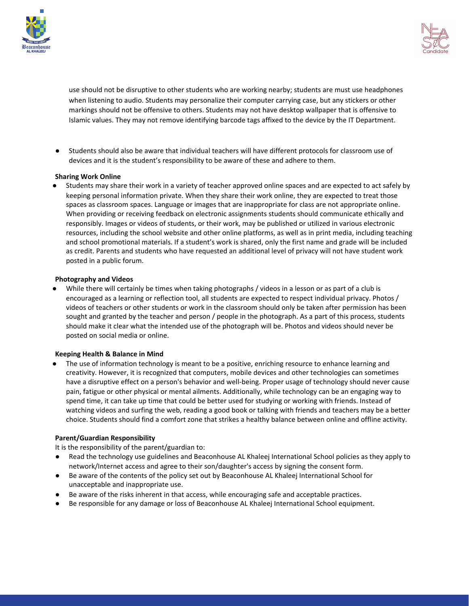



use should not be disruptive to other students who are working nearby; students are must use headphones when listening to audio. Students may personalize their computer carrying case, but any stickers or other markings should not be offensive to others. Students may not have desktop wallpaper that is offensive to Islamic values. They may not remove identifying barcode tags affixed to the device by the IT Department.

**●** Students should also be aware that individual teachers will have different protocols for classroom use of devices and it is the student's responsibility to be aware of these and adhere to them.

#### **Sharing Work Online**

**●** Students may share their work in a variety of teacher approved online spaces and are expected to act safely by keeping personal information private. When they share their work online, they are expected to treat those spaces as classroom spaces. Language or images that are inappropriate for class are not appropriate online. When providing or receiving feedback on electronic assignments students should communicate ethically and responsibly. Images or videos of students, or their work, may be published or utilized in various electronic resources, including the school website and other online platforms, as well as in print media, including teaching and school promotional materials. If a student's work is shared, only the first name and grade will be included as credit. Parents and students who have requested an additional level of privacy will not have student work posted in a public forum.

#### **Photography and Videos**

While there will certainly be times when taking photographs / videos in a lesson or as part of a club is encouraged as a learning or reflection tool, all students are expected to respect individual privacy. Photos / videos of teachers or other students or work in the classroom should only be taken after permission has been sought and granted by the teacher and person / people in the photograph. As a part of this process, students should make it clear what the intended use of the photograph will be. Photos and videos should never be posted on social media or online.

# **Keeping Health & Balance in Mind**

● The use of information technology is meant to be a positive, enriching resource to enhance learning and creativity. However, it is recognized that computers, mobile devices and other technologies can sometimes have a disruptive effect on a person's behavior and well-being. Proper usage of technology should never cause pain, fatigue or other physical or mental ailments. Additionally, while technology can be an engaging way to spend time, it can take up time that could be better used for studying or working with friends. Instead of watching videos and surfing the web, reading a good book or talking with friends and teachers may be a better choice. Students should find a comfort zone that strikes a healthy balance between online and offline activity.

# **Parent/Guardian Responsibility**

It is the responsibility of the parent/guardian to:

- Read the technology use guidelines and Beaconhouse AL Khaleej International School policies as they apply to network/Internet access and agree to their son/daughter's access by signing the consent form.
- Be aware of the contents of the policy set out by Beaconhouse AL Khaleej International School for unacceptable and inappropriate use.
- Be aware of the risks inherent in that access, while encouraging safe and acceptable practices.
- Be responsible for any damage or loss of Beaconhouse AL Khaleej International School equipment.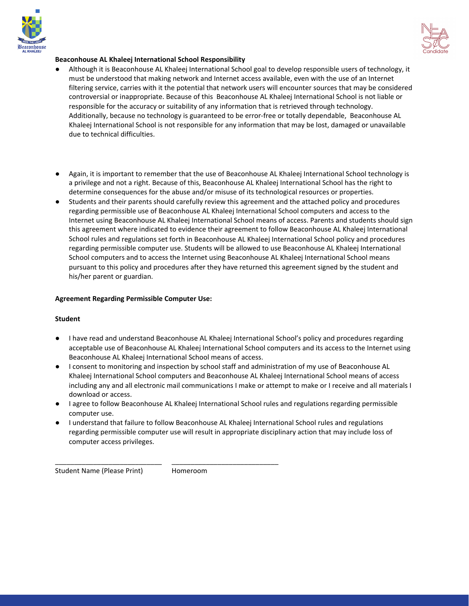



# **Beaconhouse AL Khaleej International School Responsibility**

- Although it is Beaconhouse AL Khaleej International School goal to develop responsible users of technology, it must be understood that making network and Internet access available, even with the use of an Internet filtering service, carries with it the potential that network users will encounter sources that may be considered controversial or inappropriate. Because of this Beaconhouse AL Khaleej International School is not liable or responsible for the accuracy or suitability of any information that is retrieved through technology. Additionally, because no technology is guaranteed to be error-free or totally dependable, Beaconhouse AL Khaleej International School is not responsible for any information that may be lost, damaged or unavailable due to technical difficulties.
- Again, it is important to remember that the use of Beaconhouse AL Khaleej International School technology is a privilege and not a right. Because of this, Beaconhouse AL Khaleej International School has the right to determine consequences for the abuse and/or misuse of its technological resources or properties.
- Students and their parents should carefully review this agreement and the attached policy and procedures regarding permissible use of Beaconhouse AL Khaleej International School computers and access to the Internet using Beaconhouse AL Khaleej International School means of access. Parents and students should sign this agreement where indicated to evidence their agreement to follow Beaconhouse AL Khaleej International School rules and regulations set forth in Beaconhouse AL Khaleej International School policy and procedures regarding permissible computer use. Students will be allowed to use Beaconhouse AL Khaleej International School computers and to access the Internet using Beaconhouse AL Khaleej International School means pursuant to this policy and procedures after they have returned this agreement signed by the student and his/her parent or guardian.

# **Agreement Regarding Permissible Computer Use:**

# **Student**

- I have read and understand Beaconhouse AL Khaleej International School's policy and procedures regarding acceptable use of Beaconhouse AL Khaleej International School computers and its access to the Internet using Beaconhouse AL Khaleej International School means of access.
- I consent to monitoring and inspection by school staff and administration of my use of Beaconhouse AL Khaleej International School computers and Beaconhouse AL Khaleej International School means of access including any and all electronic mail communications I make or attempt to make or I receive and all materials I download or access.
- I agree to follow Beaconhouse AL Khaleej International School rules and regulations regarding permissible computer use.
- I understand that failure to follow Beaconhouse AL Khaleej International School rules and regulations regarding permissible computer use will result in appropriate disciplinary action that may include loss of computer access privileges.

\_\_\_\_\_\_\_\_\_\_\_\_\_\_\_\_\_\_\_\_\_\_\_\_\_\_\_\_

Student Name (Please Print) Homeroom

\_\_\_\_\_\_\_\_\_\_\_\_\_\_\_\_\_\_\_\_\_\_\_\_\_\_\_\_